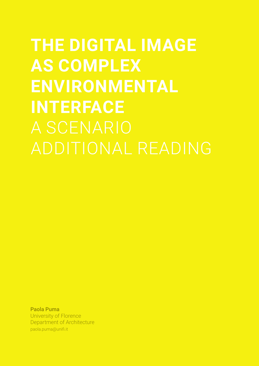**THE DIGITAL IMAGE AS COMPLEX ENVIRONMENTAL INTERFACE**

Paola Puma University of Florence Department of Architecture paola.puma@unifi.it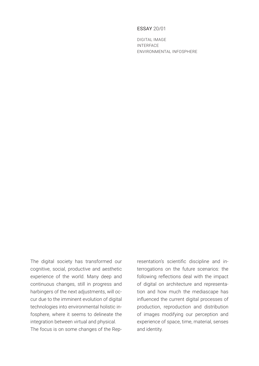## ESSAY 20/01

DIGITAL IMAGE INTERFACE ENVIRONMENTAL INFOSPHERE

The digital society has transformed our cognitive, social, productive and aesthetic experience of the world. Many deep and continuous changes, still in progress and harbingers of the next adjustments, will occur due to the imminent evolution of digital technologies into environmental holistic infosphere, where it seems to delineate the integration between virtual and physical. The focus is on some changes of the Representation's scientific discipline and interrogations on the future scenarios: the following reflections deal with the impact of digital on architecture and representation and how much the mediascape has influenced the current digital processes of production, reproduction and distribution of images modifying our perception and experience of space, time, material, senses and identity.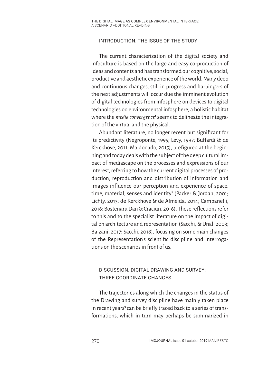## INTRODUCTION. THE ISSUE OF THE STUDY

The current characterization of the digital society and infoculture is based on the large and easy co-production of ideas and contents and has transformed our cognitive, social, productive and aesthetic experience of the world. Many deep and continuous changes, still in progress and harbingers of the next adjustments will occur due the imminent evolution of digital technologies from infosphere on devices to digital technologies on environmental infosphere, a holistic habitat where the *media convergence*<sup>1</sup> seems to delineate the integration of the virtual and the physical.

Abundant literature, no longer recent but significant for its predictivity (Negroponte, 1995; Levy, 1997; Buffardi & de Kerckhove, 2011; Maldonado, 2015), prefigured at the beginning and today deals with the subject of the deep cultural impact of mediascape on the processes and expressions of our interest, referring to how the current digital processes of production, reproduction and distribution of information and images influence our perception and experience of space, time, material, senses and identity**<sup>2</sup>** (Packer & Jordan, 2001; Lichty, 2013; de Kerckhove & de Almeida, 2014; Campanelli, 2016; Bostenaru Dan & Craciun, 2016). These reflections refer to this and to the specialist literature on the impact of digital on architecture and representation (Sacchi, & Unali 2003; Balzani, 2017; Sacchi, 2018), focusing on some main changes of the Representation's scientific discipline and interrogations on the scenarios in front of us.

# DISCUSSION. DIGITAL DRAWING AND SURVEY: THREE COORDINATE CHANGES

The trajectories along which the changes in the status of the Drawing and survey discipline have mainly taken place in recent years<sup>3</sup> can be briefly traced back to a series of transformations, which in turn may perhaps be summarized in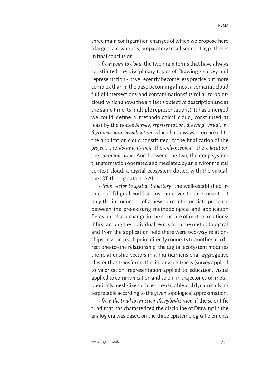three main configuration changes of which we propose here a large scale synopsis, preparatory to subsequent hypotheses in final conclusion.

• *from point to cloud*: the two main terms that have always constituted the disciplinary topics of Drawing - survey and representation - have recently become less precise but more complex than in the past, becoming almost a semantic cloud full of intersections and contaminations**<sup>4</sup>** (similar to pointcloud, which shows the artifact's objective description and at the same time its multiple representations). It has emerged we could define a methodological cloud, constituted at least by the nodes *Survey*, *representation*, *drawing*, *visual*, *infographic*, *data visualization*, which has always been linked to the application cloud constituted by the finalization of the *project*, the *documentation*, the *enhancement*, the *education*, the *communication*. And between the two, the deep system transformation operated and mediated by an environmental context cloud: a digital ecosystem dotted with the virtual, the IOT, the big data, the AI.

• *from vector to spatial trajectory*: the well-established irruption of digital world seems, moreover, to have meant not only the introduction of a new third intermediate presence between the pre-existing methodological and application fields but also a change in the structure of mutual relations: if first among the individual terms from the methodological and from the application field there were two-way relationships, in which each point directly connects to another in a direct one-to-one relationship, the digital ecosystem modifies the relationship vectors in a multidimensional aggregative cluster that transforms the linear work tracks (survey applied to valorisation, representation applied to education, visual applied to communication and so on) in trajectories on metaphorically mesh-like surfaces, measurable and dynamically interpretable according to the given topological approximation.

• *from the triad to the scientific hybridization*: if the scientific triad that has characterized the discipline of Drawing in the analog era was based on the three epistemological elements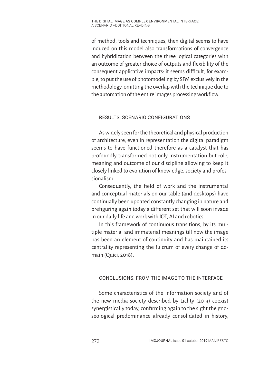of method, tools and techniques, then digital seems to have induced on this model also transformations of convergence and hybridization between the three logical categories with an outcome of greater choice of outputs and flexibility of the consequent applicative impacts: it seems difficult, for example, to put the use of photomodeling by SFM exclusively in the methodology, omitting the overlap with the technique due to the automation of the entire images processing workflow.

# RESULTS. SCENARIO CONFIGURATIONS

As widely seen for the theoretical and physical production of architecture, even in representation the digital paradigm seems to have functioned therefore as a catalyst that has profoundly transformed not only instrumentation but role, meaning and outcome of our discipline allowing to keep it closely linked to evolution of knowledge, society and professionalism.

Consequently, the field of work and the instrumental and conceptual materials on our table (and desktops) have continually been updated constantly changing in nature and prefiguring again today a different set that will soon invade in our daily life and work with IOT, AI and robotics.

In this framework of continuous transitions, by its multiple material and immaterial meanings till now the image has been an element of continuity and has maintained its centrality representing the fulcrum of every change of domain (Quici, 2018).

# CONCLUSIONS. FROM THE IMAGE TO THE INTERFACE

Some characteristics of the information society and of the new media society described by Lichty (2013) coexist synergistically today, confirming again to the sight the gnoseological predominance already consolidated in history,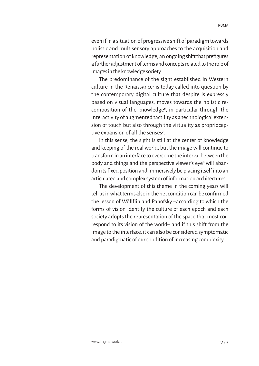even if in a situation of progressive shift of paradigm towards holistic and multisensory approaches to the acquisition and representation of knowledge, an ongoing shift that prefigures a further adjustment of terms and concepts related to the role of images in the knowledge society.

The predominance of the sight established in Western culture in the Renaissance<sup>s</sup> is today called into question by the contemporary digital culture that despite is expressly based on visual languages, moves towards the holistic recomposition of the knowledge**<sup>6</sup>** , in particular through the interactivity of augmented tactility as a technological extension of touch but also through the virtuality as proprioceptive expansion of all the senses**<sup>7</sup>** .

In this sense, the sight is still at the center of knowledge and keeping of the real world, but the image will continue to transform in an interface to overcome the interval between the body and things and the perspective viewer's eye**<sup>8</sup>** will abandon its fixed position and immersively be placing itself into an articulated and complex system of information architectures.

The development of this theme in the coming years will tell us in what terms also in the net condition can be confirmed the lesson of Wöllflin and Panofsky –according to which the forms of vision identify the culture of each epoch and each society adopts the representation of the space that most correspond to its vision of the world– and if this shift from the image to the interface, it can also be considered symptomatic and paradigmatic of our condition of increasing complexity.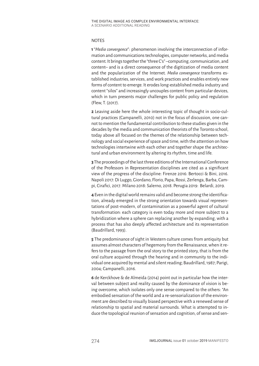#### NOTES

**1**"*Media convergence*": phenomenon involving the interconnection of information and communications technologies, computer networks, and media content. It brings together the "three C's" –computing, communication, and content– and is a direct consequence of the digitization of media content and the popularization of the Internet. *Media convergence* transforms established industries, services, and work practices and enables entirely new forms of content to emerge. It erodes long-established media industry and content "silos" and increasingly uncouples content from particular devices, which in turn presents major challenges for public policy and regulation (Flew, T. (2017).

**2** Leaving aside here the whole interesting topic of thought in socio-cultural practices (Campanelli, 2010) not in the focus of discussion, one cannot to mention the fundamental contribution to these studies given in the decades by the media and communication theorists of the Toronto school, today above all focused on the themes of the relationship between technology and social experience of space and time, with the attention on how technologies intertwine with each other and together shape the architectural and urban environment by altering its rhythm, time and life.

**3** The proceedings of the last three editions of the International Conference of the Professors in Representation disciplines are cited as a significant view of the progress of the discipline: Firenze 2016: Bertocci & Bini, 2016. Napoli 2017: Di Luggo, Giordano, Florio, Papa, Rossi, Zerlenga, Barba, Campi, Cirafici, 2017. Milano 2018: Salerno, 2018. Perugia 2019: Belardi, 2019.

**4** Even in the digital world remains valid and become strong the identification, already emerged in the strong orientation towards visual representations of post-modern, of contamination as a powerful agent of cultural transformation: each category is even today more and more subject to a hybridization where a sphere can replacing another by expanding, with a process that has also deeply affected architecture and its representation (Baudrillard, 1993).

**5** The predominance of sight in Western culture comes from antiquity but assumes almost characters of hegemony from the Renaissance, when it refers to the passage from the oral story to the printed story, that is from the oral culture acquired through the hearing and in community to the individual one acquired by mental and silent reading; Baudrillard, 1987; Parigi, 2004; Campanelli, 2016.

**6** de Kerckhove & de Almeida (2014) point out in particular how the interval between subject and reality caused by the dominance of vision is being overcome, which isolates only one sense compared to the others: "An embodied sensation of the world and a re-sensorialization of the environment are described to visually biased perspective with a renewed sense of relationship to spatial and material surrounds. What is attempted to induce the topological reunion of sensation and cognition, of sense and sen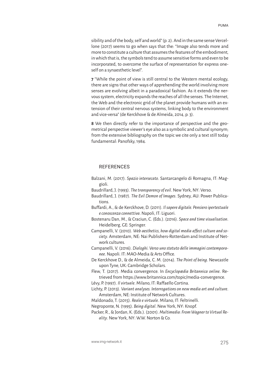more to constitute a culture that assumes the features of the embodiment, in which that is, the symbols tend to assume sensitive forms and even to be incorporated, to overcome the surface of representation for express oneself on a synaesthetic level".

**7** "While the point of view is still central to the Western mental ecology, there are signs that other ways of apprehending the world involving more senses are evolving albeit in a paradoxical fashion. As it extends the nervous system, electricity expands the reaches of all the senses. The Internet, the Web and the electronic grid of the planet provide humans with an extension of their central nervous systems, linking body to the environment and vice-versa" (de Kerckhove & de Almeida, 2014, p. 3).

**8** We then directly refer to the importance of perspective and the geometrical perspective viewer's eye also as a symbolic and cultural synonym; from the extensive bibliography on the topic we cite only a text still today fundamental: Panofsky, 1984.

### REFERENCES

- Balzani, M. (2017). *Spazio intersecato*. Santarcangelo di Romagna, IT: Maggioli.
- Baudrillard, J. (1993). *The transparency of evil*. New York, NY: Verso.
- Baudrillard, J. (1987). *The Evil Demon of Images*. Sydney, AU: Power Publications.
- Buffardi, A., & de Kerckhove, D. (2011). *Il sapere digitale. Pensiero ipertestuale e conoscenza connettiva*. Napoli, IT: Liguori.
- Bostenaru Dan, M., & Craciun, C. (Eds.). (2016). *Space and time visualisation*. Heidelberg, GE: Springer.

Campanelli, V. (2010). *Web aesthetics, how digital media affect culture and society*. Amsterdam, NE: Nai Publishers-Rotterdam and Institute of Network cultures.

Campanelli, V. (2016). *Dialoghi. Verso uno statuto delle immagini contemporanee*. Napoli. IT: MAO-Media & Arts Office.

De Kerckhove D., & de Almeida, C. M. (2014). *The Point of being*. Newcastle upon Tyne, UK: Cambridge Scholars.

Flew, T. (2017). Media convergence. In *Encyclopædia Britannica online*. Retrieved from https://www.britannica.com/topic/media-convergence.

Lévy, P. (1997). *Il virtuale*. Milano, IT: Raffaello Cortina.

Lichty, P. (2013). *Variant analyses. Interrogations on new media art and culture*. Amsterdam, NE: Institute of Network Cultures.

Maldonado, T. (2015). *Reale e virtuale*. Milano, IT: Feltrinelli.

Negroponte, N. (1995). *Being digital*. New York, NY: Knopf.

Packer, R., & Jordan, K. (Eds.). (2001). *Multimedia: From Wagner to Virtual Reality*. New York, NY: W.W. Norton & Co.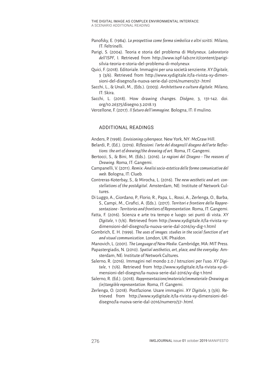- Panofsky, E. (1984). *La prospettiva come forma simbolica e altri scritti*. Milano, IT: Feltrinelli.
- Parigi, S. (2004). Teoria e storia del problema di Molyneux. *Laboratorio dell'ISPF*, I. Retrieved from http://www.ispf-lab.cnr.it/content/parigisilvia-teoria-e-storia-del-problema-di-molyneux

Quici, F. (2018). Editoriale. Immagini per una società senziente. *XY Digitale*, 3 (3/6). Retrieved from http://www.xydigitale.it/la-rivista-xy-dimensioni-del-disegno/la-nuova-serie-dal-2016/numero/57-.html

Sacchi, L., & Unali, M., (Eds.). (2003). *Architettura e cultura digitale*. Milano, IT: Skira.

Sacchi, L. (2018). How drawing changes. *Diségno*, 3, 131-142. doi. org/10.26375/disegno.3.2018.13

Vercellone, F. (2017). *Il futuro dell'immagine*. Bologna, IT: Il mulino.

## ADDITIONAL READINGS

Anders, P. (1998). *Envisioning cyberspace*. New York, NY: McGraw Hill.

- Belardi, P., (Ed.). (2019). *Riflessioni: l'arte del disegno/il disegno dell'arte Reflections: the art of drawing/the drawing of art*. Roma, IT: Gangemi.
- Bertocci, S., & Bini, M. (Eds.). (2016). *Le ragioni del Disegno The reasons of Drawing*. Roma, IT: Gangemi.
- Campanelli, V. (2011). *Remix: Analisi socio-estetica delle forme comunicative del web*. Bologna, IT: Clueb.
- Contreras-Koterbay, S., & Mirocha, L. (2016). *The new aesthetic and art: constellations of the postdigital*. Amsterdam, NE: Institute of Network Cultures.
- Di Luggo, A., Giordano, P., Florio, R., Papa, L., Rossi, A., Zerlenga, O., Barba, S., Campi, M., Cirafici, A. (Eds.). (2017). *Territori e frontiere della Rappresentazione - Territories and frontiers of Representation*. Roma, IT: Gangemi.
- Fatta, F. (2016). Scienza e arte tra tempo e luogo: sei punti di vista. *XY Digitale*, 1 (1/6). Retrieved from http://www.xydigitale.it/la-rivista-xydimensioni-del-disegno/la-nuova-serie-dal-2016/xy-dig-1.html
- Gombrich, E. H. (1999). *The uses of images: studies in the social function of art and visual communication*. London, UK: Phaidon.

Manovich, L. (2001). *The Language of New Media*. Cambridge, MA: MIT Press.

- Papastergiadis, N. (2010). *Spatial aesthetics, art, place, and the everyday*. Amsterdam, NE: Institute of Network Cultures.
- Salerno, R. (2016). Immagini nel mondo 2.0 / Istruzioni per l'uso. *XY Digitale*, 1 (1/6). Retrieved from http://www.xydigitale.it/la-rivista-xy-dimensioni-del-disegno/la-nuova-serie-dal-2016/xy-dig-1.html
- Salerno, R. (Ed.). (2018). *Rappresentazione/materiale/immateriale-Drawing as (in)tangible representation*. Roma, IT: Gangemi.
- Zerlenga, O. (2018). Postfazione. Usare immagini. *XY Digitale*, 3 (3/6). Retrieved from http://www.xydigitale.it/la-rivista-xy-dimensioni-deldisegno/la-nuova-serie-dal-2016/numero/57-.html.